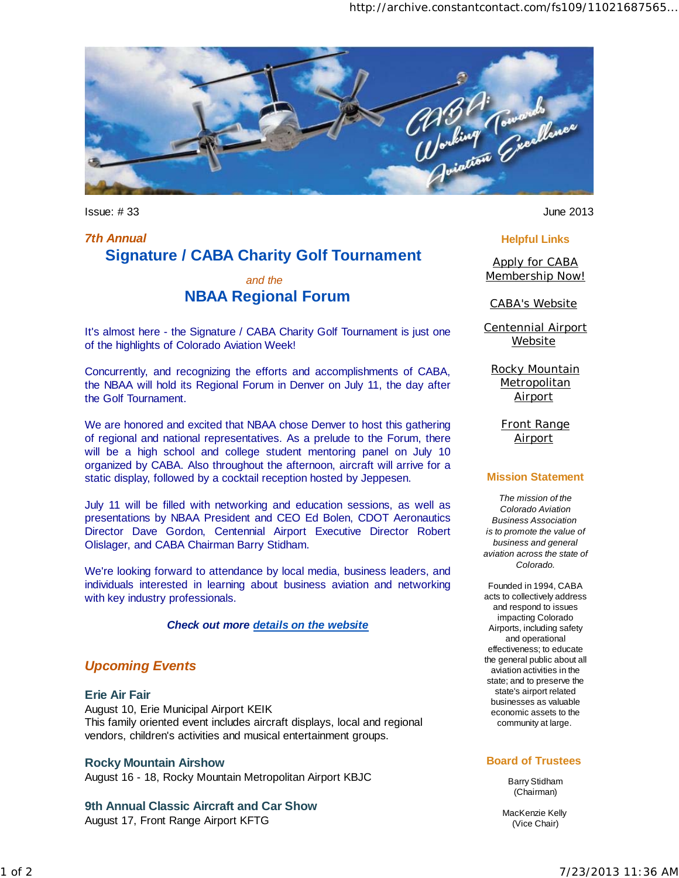

Issue: # 33 June 2013

# *7th Annual*  **Signature / CABA Charity Golf Tournament**

## *and the*  **NBAA Regional Forum**

It's almost here - the Signature / CABA Charity Golf Tournament is just one of the highlights of Colorado Aviation Week!

Concurrently, and recognizing the efforts and accomplishments of CABA, the NBAA will hold its Regional Forum in Denver on July 11, the day after the Golf Tournament.

We are honored and excited that NBAA chose Denver to host this gathering of regional and national representatives. As a prelude to the Forum, there will be a high school and college student mentoring panel on July 10 organized by CABA. Also throughout the afternoon, aircraft will arrive for a static display, followed by a cocktail reception hosted by Jeppesen.

July 11 will be filled with networking and education sessions, as well as presentations by NBAA President and CEO Ed Bolen, CDOT Aeronautics Director Dave Gordon, Centennial Airport Executive Director Robert Olislager, and CABA Chairman Barry Stidham.

We're looking forward to attendance by local media, business leaders, and individuals interested in learning about business aviation and networking with key industry professionals.

*Check out more details on the website*

## *Upcoming Events*

**Erie Air Fair**  August 10, Erie Municipal Airport KEIK This family oriented event includes aircraft displays, local and regional vendors, children's activities and musical entertainment groups.

#### **Rocky Mountain Airshow**

August 16 - 18, Rocky Mountain Metropolitan Airport KBJC

### **9th Annual Classic Aircraft and Car Show**

August 17, Front Range Airport KFTG

#### **Helpful Links**

Apply for CABA Membership Now!

#### CABA's Website

Centennial Airport **Website** 

Rocky Mountain **Metropolitan Airport** 

> Front Range **Airport**

#### **Mission Statement**

*The mission of the Colorado Aviation Business Association is to promote the value of business and general aviation across the state of Colorado.*

Founded in 1994, CABA acts to collectively address and respond to issues impacting Colorado Airports, including safety and operational effectiveness; to educate the general public about all aviation activities in the state; and to preserve the state's airport related businesses as valuable economic assets to the community at large.

#### **Board of Trustees**

Barry Stidham (Chairman)

MacKenzie Kelly (Vice Chair)